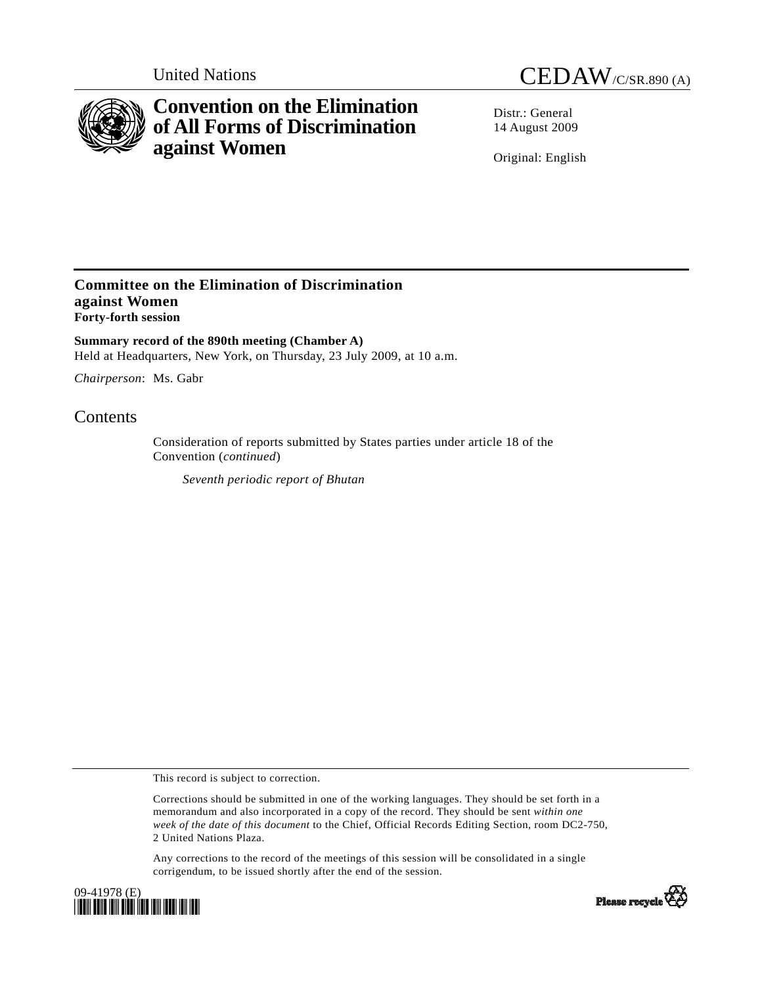

# **Convention on the Elimination of All Forms of Discrimination against Women**

United Nations CEDAW/C/SR.890 (A)

Distr · General 14 August 2009

Original: English

### **Committee on the Elimination of Discrimination against Women Forty-forth session**

**Summary record of the 890th meeting (Chamber A)**  Held at Headquarters, New York, on Thursday, 23 July 2009, at 10 a.m.

*Chairperson*: Ms. Gabr

## **Contents**

Consideration of reports submitted by States parties under article 18 of the Convention (*continued*)

*Seventh periodic report of Bhutan* 

This record is subject to correction.

Corrections should be submitted in one of the working languages. They should be set forth in a memorandum and also incorporated in a copy of the record. They should be sent *within one week of the date of this document* to the Chief, Official Records Editing Section, room DC2-750, 2 United Nations Plaza.

Any corrections to the record of the meetings of this session will be consolidated in a single corrigendum, to be issued shortly after the end of the session.



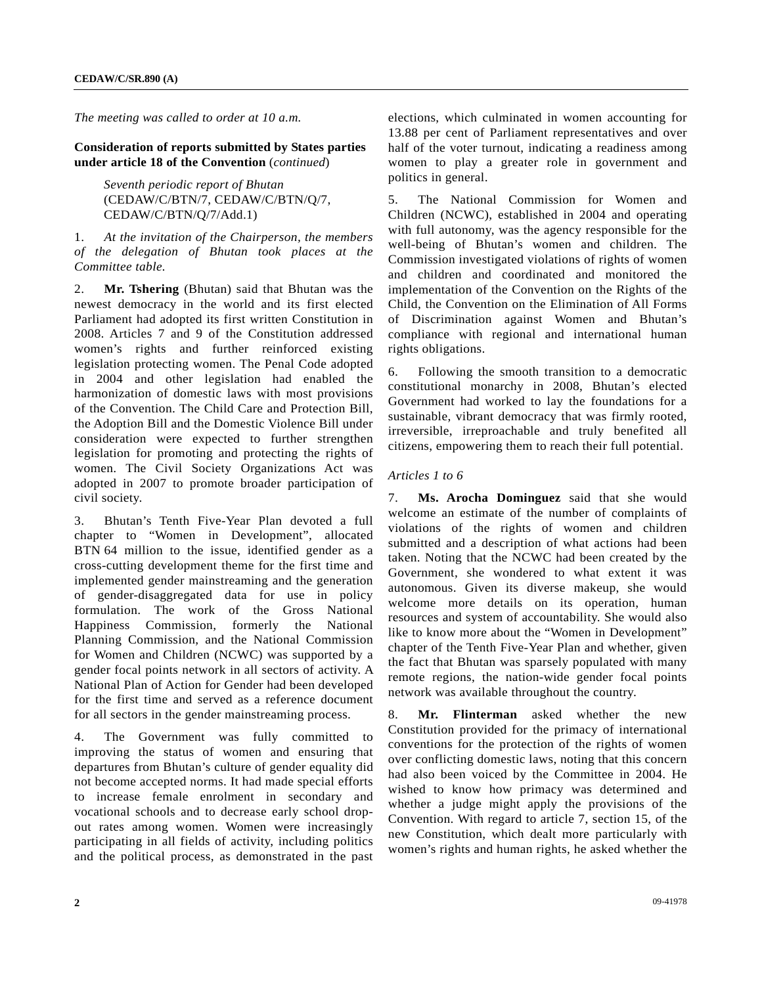*The meeting was called to order at 10 a.m.* 

**Consideration of reports submitted by States parties under article 18 of the Convention** (*continued*)

> *Seventh periodic report of Bhutan*  (CEDAW/C/BTN/7, CEDAW/C/BTN/Q/7, CEDAW/C/BTN/Q/7/Add.1)

#### 1. *At the invitation of the Chairperson, the members of the delegation of Bhutan took places at the Committee table.*

2. **Mr. Tshering** (Bhutan) said that Bhutan was the newest democracy in the world and its first elected Parliament had adopted its first written Constitution in 2008. Articles 7 and 9 of the Constitution addressed women's rights and further reinforced existing legislation protecting women. The Penal Code adopted in 2004 and other legislation had enabled the harmonization of domestic laws with most provisions of the Convention. The Child Care and Protection Bill, the Adoption Bill and the Domestic Violence Bill under consideration were expected to further strengthen legislation for promoting and protecting the rights of women. The Civil Society Organizations Act was adopted in 2007 to promote broader participation of civil society.

3. Bhutan's Tenth Five-Year Plan devoted a full chapter to "Women in Development", allocated BTN 64 million to the issue, identified gender as a cross-cutting development theme for the first time and implemented gender mainstreaming and the generation of gender-disaggregated data for use in policy formulation. The work of the Gross National Happiness Commission, formerly the National Planning Commission, and the National Commission for Women and Children (NCWC) was supported by a gender focal points network in all sectors of activity. A National Plan of Action for Gender had been developed for the first time and served as a reference document for all sectors in the gender mainstreaming process.

4. The Government was fully committed to improving the status of women and ensuring that departures from Bhutan's culture of gender equality did not become accepted norms. It had made special efforts to increase female enrolment in secondary and vocational schools and to decrease early school dropout rates among women. Women were increasingly participating in all fields of activity, including politics and the political process, as demonstrated in the past

elections, which culminated in women accounting for 13.88 per cent of Parliament representatives and over half of the voter turnout, indicating a readiness among women to play a greater role in government and politics in general.

5. The National Commission for Women and Children (NCWC), established in 2004 and operating with full autonomy, was the agency responsible for the well-being of Bhutan's women and children. The Commission investigated violations of rights of women and children and coordinated and monitored the implementation of the Convention on the Rights of the Child, the Convention on the Elimination of All Forms of Discrimination against Women and Bhutan's compliance with regional and international human rights obligations.

6. Following the smooth transition to a democratic constitutional monarchy in 2008, Bhutan's elected Government had worked to lay the foundations for a sustainable, vibrant democracy that was firmly rooted, irreversible, irreproachable and truly benefited all citizens, empowering them to reach their full potential.

#### *Articles 1 to 6*

7. **Ms. Arocha Dominguez** said that she would welcome an estimate of the number of complaints of violations of the rights of women and children submitted and a description of what actions had been taken. Noting that the NCWC had been created by the Government, she wondered to what extent it was autonomous. Given its diverse makeup, she would welcome more details on its operation, human resources and system of accountability. She would also like to know more about the "Women in Development" chapter of the Tenth Five-Year Plan and whether, given the fact that Bhutan was sparsely populated with many remote regions, the nation-wide gender focal points network was available throughout the country.

8. **Mr. Flinterman** asked whether the new Constitution provided for the primacy of international conventions for the protection of the rights of women over conflicting domestic laws, noting that this concern had also been voiced by the Committee in 2004. He wished to know how primacy was determined and whether a judge might apply the provisions of the Convention. With regard to article 7, section 15, of the new Constitution, which dealt more particularly with women's rights and human rights, he asked whether the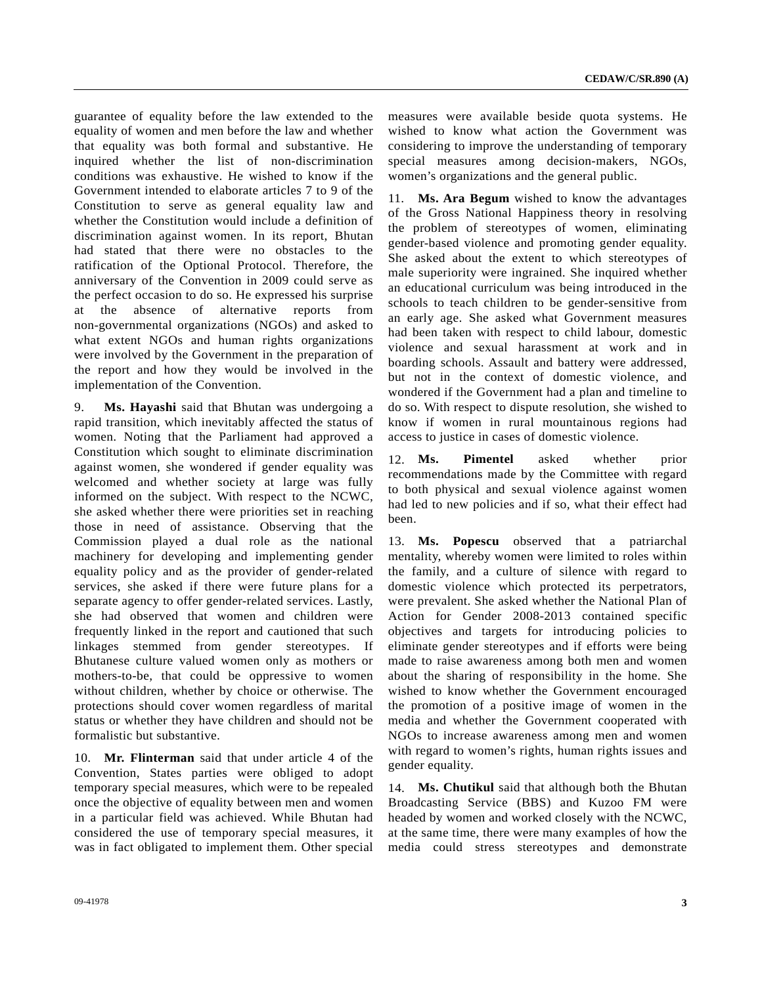guarantee of equality before the law extended to the equality of women and men before the law and whether that equality was both formal and substantive. He inquired whether the list of non-discrimination conditions was exhaustive. He wished to know if the Government intended to elaborate articles 7 to 9 of the Constitution to serve as general equality law and whether the Constitution would include a definition of discrimination against women. In its report, Bhutan had stated that there were no obstacles to the ratification of the Optional Protocol. Therefore, the anniversary of the Convention in 2009 could serve as the perfect occasion to do so. He expressed his surprise at the absence of alternative reports from non-governmental organizations (NGOs) and asked to what extent NGOs and human rights organizations were involved by the Government in the preparation of the report and how they would be involved in the implementation of the Convention.

9. **Ms. Hayashi** said that Bhutan was undergoing a rapid transition, which inevitably affected the status of women. Noting that the Parliament had approved a Constitution which sought to eliminate discrimination against women, she wondered if gender equality was welcomed and whether society at large was fully informed on the subject. With respect to the NCWC, she asked whether there were priorities set in reaching those in need of assistance. Observing that the Commission played a dual role as the national machinery for developing and implementing gender equality policy and as the provider of gender-related services, she asked if there were future plans for a separate agency to offer gender-related services. Lastly, she had observed that women and children were frequently linked in the report and cautioned that such linkages stemmed from gender stereotypes. If Bhutanese culture valued women only as mothers or mothers-to-be, that could be oppressive to women without children, whether by choice or otherwise. The protections should cover women regardless of marital status or whether they have children and should not be formalistic but substantive.

10. **Mr. Flinterman** said that under article 4 of the Convention, States parties were obliged to adopt temporary special measures, which were to be repealed once the objective of equality between men and women in a particular field was achieved. While Bhutan had considered the use of temporary special measures, it was in fact obligated to implement them. Other special

measures were available beside quota systems. He wished to know what action the Government was considering to improve the understanding of temporary special measures among decision-makers, NGOs, women's organizations and the general public.

11. **Ms. Ara Begum** wished to know the advantages of the Gross National Happiness theory in resolving the problem of stereotypes of women, eliminating gender-based violence and promoting gender equality. She asked about the extent to which stereotypes of male superiority were ingrained. She inquired whether an educational curriculum was being introduced in the schools to teach children to be gender-sensitive from an early age. She asked what Government measures had been taken with respect to child labour, domestic violence and sexual harassment at work and in boarding schools. Assault and battery were addressed, but not in the context of domestic violence, and wondered if the Government had a plan and timeline to do so. With respect to dispute resolution, she wished to know if women in rural mountainous regions had access to justice in cases of domestic violence.

12. **Ms. Pimentel** asked whether prior recommendations made by the Committee with regard to both physical and sexual violence against women had led to new policies and if so, what their effect had been.

13. **Ms. Popescu** observed that a patriarchal mentality, whereby women were limited to roles within the family, and a culture of silence with regard to domestic violence which protected its perpetrators, were prevalent. She asked whether the National Plan of Action for Gender 2008-2013 contained specific objectives and targets for introducing policies to eliminate gender stereotypes and if efforts were being made to raise awareness among both men and women about the sharing of responsibility in the home. She wished to know whether the Government encouraged the promotion of a positive image of women in the media and whether the Government cooperated with NGOs to increase awareness among men and women with regard to women's rights, human rights issues and gender equality.

14. **Ms. Chutikul** said that although both the Bhutan Broadcasting Service (BBS) and Kuzoo FM were headed by women and worked closely with the NCWC, at the same time, there were many examples of how the media could stress stereotypes and demonstrate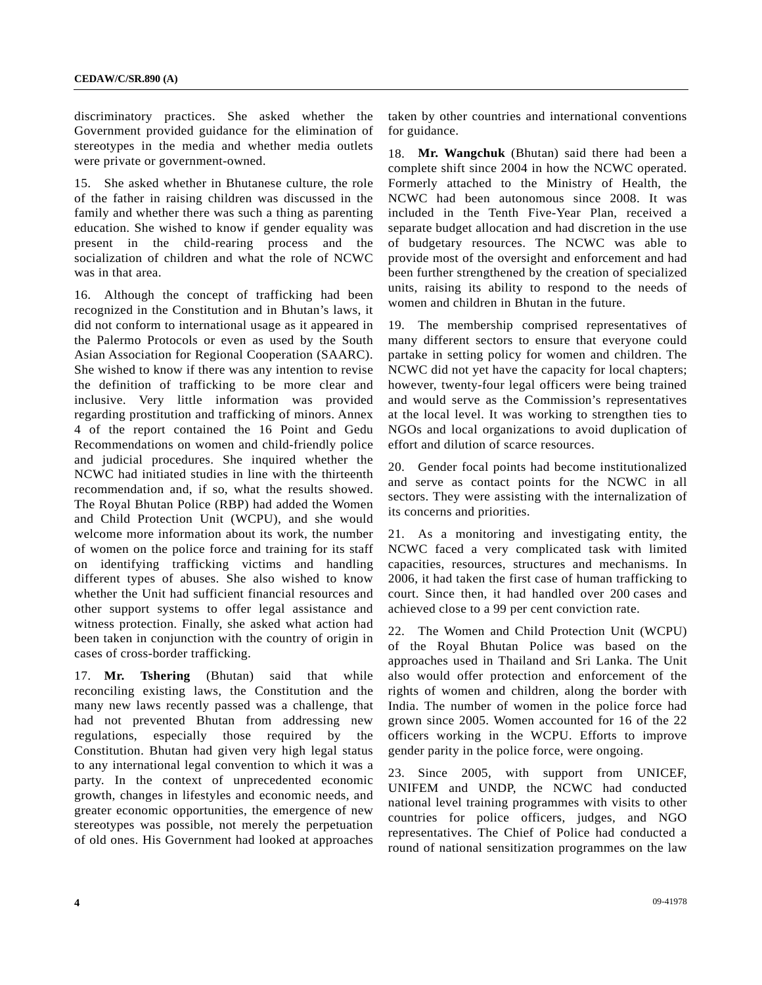discriminatory practices. She asked whether the Government provided guidance for the elimination of stereotypes in the media and whether media outlets were private or government-owned.

15. She asked whether in Bhutanese culture, the role of the father in raising children was discussed in the family and whether there was such a thing as parenting education. She wished to know if gender equality was present in the child-rearing process and the socialization of children and what the role of NCWC was in that area.

16. Although the concept of trafficking had been recognized in the Constitution and in Bhutan's laws, it did not conform to international usage as it appeared in the Palermo Protocols or even as used by the South Asian Association for Regional Cooperation (SAARC). She wished to know if there was any intention to revise the definition of trafficking to be more clear and inclusive. Very little information was provided regarding prostitution and trafficking of minors. Annex 4 of the report contained the 16 Point and Gedu Recommendations on women and child-friendly police and judicial procedures. She inquired whether the NCWC had initiated studies in line with the thirteenth recommendation and, if so, what the results showed. The Royal Bhutan Police (RBP) had added the Women and Child Protection Unit (WCPU), and she would welcome more information about its work, the number of women on the police force and training for its staff on identifying trafficking victims and handling different types of abuses. She also wished to know whether the Unit had sufficient financial resources and other support systems to offer legal assistance and witness protection. Finally, she asked what action had been taken in conjunction with the country of origin in cases of cross-border trafficking.

17. **Mr. Tshering** (Bhutan) said that while reconciling existing laws, the Constitution and the many new laws recently passed was a challenge, that had not prevented Bhutan from addressing new regulations, especially those required by the Constitution. Bhutan had given very high legal status to any international legal convention to which it was a party. In the context of unprecedented economic growth, changes in lifestyles and economic needs, and greater economic opportunities, the emergence of new stereotypes was possible, not merely the perpetuation of old ones. His Government had looked at approaches

taken by other countries and international conventions for guidance.

18. **Mr. Wangchuk** (Bhutan) said there had been a complete shift since 2004 in how the NCWC operated. Formerly attached to the Ministry of Health, the NCWC had been autonomous since 2008. It was included in the Tenth Five-Year Plan, received a separate budget allocation and had discretion in the use of budgetary resources. The NCWC was able to provide most of the oversight and enforcement and had been further strengthened by the creation of specialized units, raising its ability to respond to the needs of women and children in Bhutan in the future.

19. The membership comprised representatives of many different sectors to ensure that everyone could partake in setting policy for women and children. The NCWC did not yet have the capacity for local chapters; however, twenty-four legal officers were being trained and would serve as the Commission's representatives at the local level. It was working to strengthen ties to NGOs and local organizations to avoid duplication of effort and dilution of scarce resources.

20. Gender focal points had become institutionalized and serve as contact points for the NCWC in all sectors. They were assisting with the internalization of its concerns and priorities.

21. As a monitoring and investigating entity, the NCWC faced a very complicated task with limited capacities, resources, structures and mechanisms. In 2006, it had taken the first case of human trafficking to court. Since then, it had handled over 200 cases and achieved close to a 99 per cent conviction rate.

22. The Women and Child Protection Unit (WCPU) of the Royal Bhutan Police was based on the approaches used in Thailand and Sri Lanka. The Unit also would offer protection and enforcement of the rights of women and children, along the border with India. The number of women in the police force had grown since 2005. Women accounted for 16 of the 22 officers working in the WCPU. Efforts to improve gender parity in the police force, were ongoing.

23. Since 2005, with support from UNICEF, UNIFEM and UNDP, the NCWC had conducted national level training programmes with visits to other countries for police officers, judges, and NGO representatives. The Chief of Police had conducted a round of national sensitization programmes on the law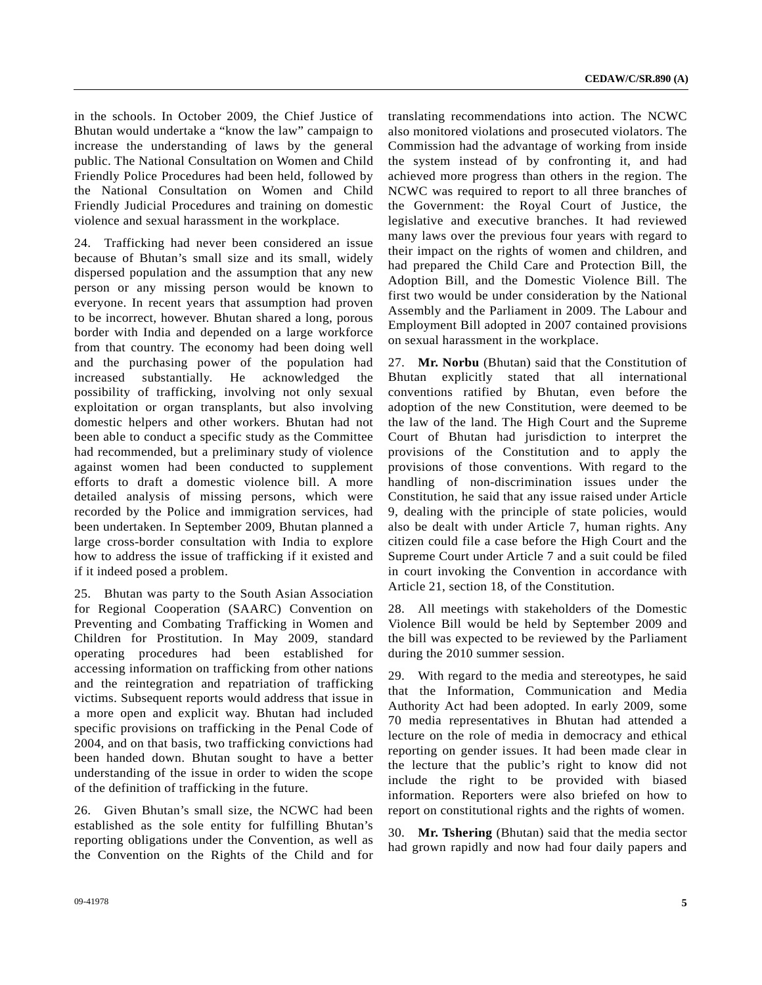in the schools. In October 2009, the Chief Justice of Bhutan would undertake a "know the law" campaign to increase the understanding of laws by the general public. The National Consultation on Women and Child Friendly Police Procedures had been held, followed by the National Consultation on Women and Child Friendly Judicial Procedures and training on domestic violence and sexual harassment in the workplace.

24. Trafficking had never been considered an issue because of Bhutan's small size and its small, widely dispersed population and the assumption that any new person or any missing person would be known to everyone. In recent years that assumption had proven to be incorrect, however. Bhutan shared a long, porous border with India and depended on a large workforce from that country. The economy had been doing well and the purchasing power of the population had increased substantially. He acknowledged the possibility of trafficking, involving not only sexual exploitation or organ transplants, but also involving domestic helpers and other workers. Bhutan had not been able to conduct a specific study as the Committee had recommended, but a preliminary study of violence against women had been conducted to supplement efforts to draft a domestic violence bill. A more detailed analysis of missing persons, which were recorded by the Police and immigration services, had been undertaken. In September 2009, Bhutan planned a large cross-border consultation with India to explore how to address the issue of trafficking if it existed and if it indeed posed a problem.

25. Bhutan was party to the South Asian Association for Regional Cooperation (SAARC) Convention on Preventing and Combating Trafficking in Women and Children for Prostitution. In May 2009, standard operating procedures had been established for accessing information on trafficking from other nations and the reintegration and repatriation of trafficking victims. Subsequent reports would address that issue in a more open and explicit way. Bhutan had included specific provisions on trafficking in the Penal Code of 2004, and on that basis, two trafficking convictions had been handed down. Bhutan sought to have a better understanding of the issue in order to widen the scope of the definition of trafficking in the future.

26. Given Bhutan's small size, the NCWC had been established as the sole entity for fulfilling Bhutan's reporting obligations under the Convention, as well as the Convention on the Rights of the Child and for translating recommendations into action. The NCWC also monitored violations and prosecuted violators. The Commission had the advantage of working from inside the system instead of by confronting it, and had achieved more progress than others in the region. The NCWC was required to report to all three branches of the Government: the Royal Court of Justice, the legislative and executive branches. It had reviewed many laws over the previous four years with regard to their impact on the rights of women and children, and had prepared the Child Care and Protection Bill, the Adoption Bill, and the Domestic Violence Bill. The first two would be under consideration by the National Assembly and the Parliament in 2009. The Labour and Employment Bill adopted in 2007 contained provisions on sexual harassment in the workplace.

27. **Mr. Norbu** (Bhutan) said that the Constitution of Bhutan explicitly stated that all international conventions ratified by Bhutan, even before the adoption of the new Constitution, were deemed to be the law of the land. The High Court and the Supreme Court of Bhutan had jurisdiction to interpret the provisions of the Constitution and to apply the provisions of those conventions. With regard to the handling of non-discrimination issues under the Constitution, he said that any issue raised under Article 9, dealing with the principle of state policies, would also be dealt with under Article 7, human rights. Any citizen could file a case before the High Court and the Supreme Court under Article 7 and a suit could be filed in court invoking the Convention in accordance with Article 21, section 18, of the Constitution.

28. All meetings with stakeholders of the Domestic Violence Bill would be held by September 2009 and the bill was expected to be reviewed by the Parliament during the 2010 summer session.

29. With regard to the media and stereotypes, he said that the Information, Communication and Media Authority Act had been adopted. In early 2009, some 70 media representatives in Bhutan had attended a lecture on the role of media in democracy and ethical reporting on gender issues. It had been made clear in the lecture that the public's right to know did not include the right to be provided with biased information. Reporters were also briefed on how to report on constitutional rights and the rights of women.

30. **Mr. Tshering** (Bhutan) said that the media sector had grown rapidly and now had four daily papers and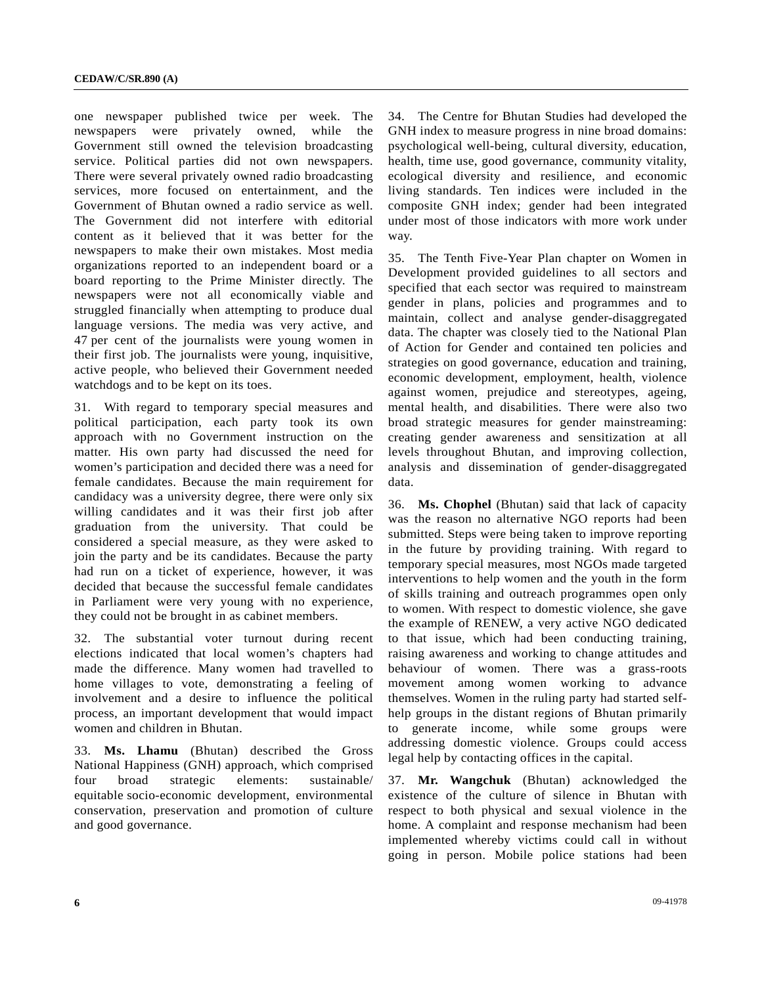one newspaper published twice per week. The newspapers were privately owned, while the Government still owned the television broadcasting service. Political parties did not own newspapers. There were several privately owned radio broadcasting services, more focused on entertainment, and the Government of Bhutan owned a radio service as well. The Government did not interfere with editorial content as it believed that it was better for the newspapers to make their own mistakes. Most media organizations reported to an independent board or a board reporting to the Prime Minister directly. The newspapers were not all economically viable and struggled financially when attempting to produce dual language versions. The media was very active, and 47 per cent of the journalists were young women in their first job. The journalists were young, inquisitive, active people, who believed their Government needed watchdogs and to be kept on its toes.

31. With regard to temporary special measures and political participation, each party took its own approach with no Government instruction on the matter. His own party had discussed the need for women's participation and decided there was a need for female candidates. Because the main requirement for candidacy was a university degree, there were only six willing candidates and it was their first job after graduation from the university. That could be considered a special measure, as they were asked to join the party and be its candidates. Because the party had run on a ticket of experience, however, it was decided that because the successful female candidates in Parliament were very young with no experience, they could not be brought in as cabinet members.

32. The substantial voter turnout during recent elections indicated that local women's chapters had made the difference. Many women had travelled to home villages to vote, demonstrating a feeling of involvement and a desire to influence the political process, an important development that would impact women and children in Bhutan.

33. **Ms. Lhamu** (Bhutan) described the Gross National Happiness (GNH) approach, which comprised four broad strategic elements: sustainable/ equitable socio-economic development, environmental conservation, preservation and promotion of culture and good governance.

34. The Centre for Bhutan Studies had developed the GNH index to measure progress in nine broad domains: psychological well-being, cultural diversity, education, health, time use, good governance, community vitality, ecological diversity and resilience, and economic living standards. Ten indices were included in the composite GNH index; gender had been integrated under most of those indicators with more work under way.

35. The Tenth Five-Year Plan chapter on Women in Development provided guidelines to all sectors and specified that each sector was required to mainstream gender in plans, policies and programmes and to maintain, collect and analyse gender-disaggregated data. The chapter was closely tied to the National Plan of Action for Gender and contained ten policies and strategies on good governance, education and training, economic development, employment, health, violence against women, prejudice and stereotypes, ageing, mental health, and disabilities. There were also two broad strategic measures for gender mainstreaming: creating gender awareness and sensitization at all levels throughout Bhutan, and improving collection, analysis and dissemination of gender-disaggregated data.

36. **Ms. Chophel** (Bhutan) said that lack of capacity was the reason no alternative NGO reports had been submitted. Steps were being taken to improve reporting in the future by providing training. With regard to temporary special measures, most NGOs made targeted interventions to help women and the youth in the form of skills training and outreach programmes open only to women. With respect to domestic violence, she gave the example of RENEW, a very active NGO dedicated to that issue, which had been conducting training, raising awareness and working to change attitudes and behaviour of women. There was a grass-roots movement among women working to advance themselves. Women in the ruling party had started selfhelp groups in the distant regions of Bhutan primarily to generate income, while some groups were addressing domestic violence. Groups could access legal help by contacting offices in the capital.

37. **Mr. Wangchuk** (Bhutan) acknowledged the existence of the culture of silence in Bhutan with respect to both physical and sexual violence in the home. A complaint and response mechanism had been implemented whereby victims could call in without going in person. Mobile police stations had been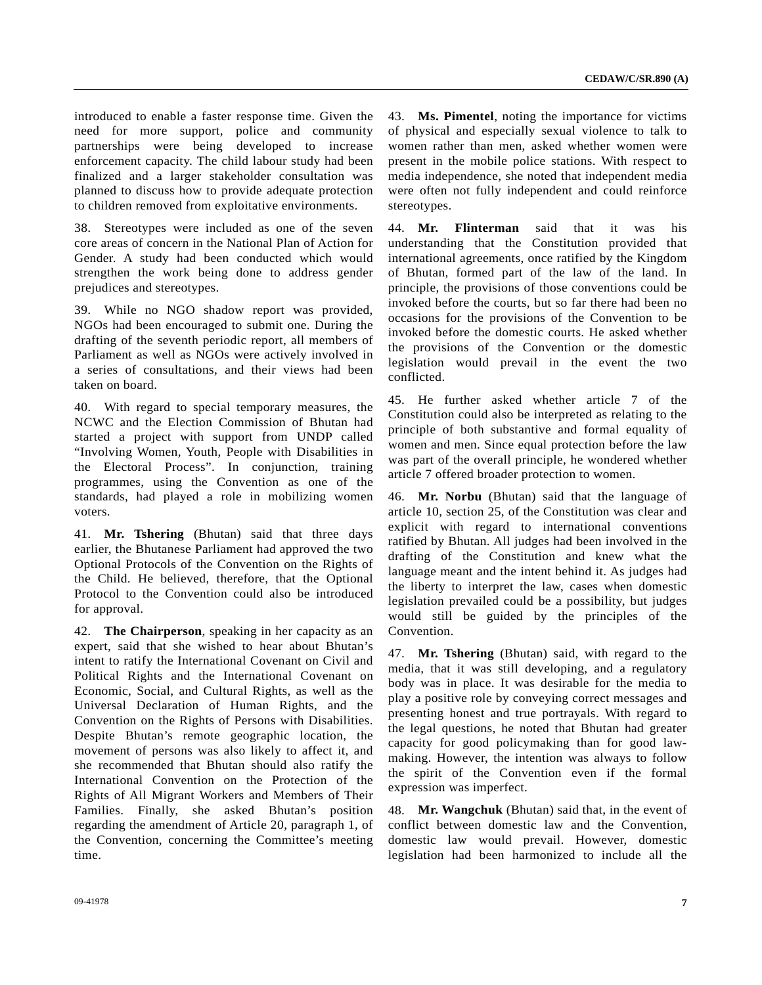introduced to enable a faster response time. Given the need for more support, police and community partnerships were being developed to increase enforcement capacity. The child labour study had been finalized and a larger stakeholder consultation was planned to discuss how to provide adequate protection to children removed from exploitative environments.

38. Stereotypes were included as one of the seven core areas of concern in the National Plan of Action for Gender. A study had been conducted which would strengthen the work being done to address gender prejudices and stereotypes.

39. While no NGO shadow report was provided, NGOs had been encouraged to submit one. During the drafting of the seventh periodic report, all members of Parliament as well as NGOs were actively involved in a series of consultations, and their views had been taken on board.

40. With regard to special temporary measures, the NCWC and the Election Commission of Bhutan had started a project with support from UNDP called "Involving Women, Youth, People with Disabilities in the Electoral Process". In conjunction, training programmes, using the Convention as one of the standards, had played a role in mobilizing women voters.

41. **Mr. Tshering** (Bhutan) said that three days earlier, the Bhutanese Parliament had approved the two Optional Protocols of the Convention on the Rights of the Child. He believed, therefore, that the Optional Protocol to the Convention could also be introduced for approval.

42. **The Chairperson**, speaking in her capacity as an expert, said that she wished to hear about Bhutan's intent to ratify the International Covenant on Civil and Political Rights and the International Covenant on Economic, Social, and Cultural Rights, as well as the Universal Declaration of Human Rights, and the Convention on the Rights of Persons with Disabilities. Despite Bhutan's remote geographic location, the movement of persons was also likely to affect it, and she recommended that Bhutan should also ratify the International Convention on the Protection of the Rights of All Migrant Workers and Members of Their Families. Finally, she asked Bhutan's position regarding the amendment of Article 20, paragraph 1, of the Convention, concerning the Committee's meeting time.

43. **Ms. Pimentel**, noting the importance for victims of physical and especially sexual violence to talk to women rather than men, asked whether women were present in the mobile police stations. With respect to media independence, she noted that independent media were often not fully independent and could reinforce stereotypes.

44. **Mr. Flinterman** said that it was his understanding that the Constitution provided that international agreements, once ratified by the Kingdom of Bhutan, formed part of the law of the land. In principle, the provisions of those conventions could be invoked before the courts, but so far there had been no occasions for the provisions of the Convention to be invoked before the domestic courts. He asked whether the provisions of the Convention or the domestic legislation would prevail in the event the two conflicted.

45. He further asked whether article 7 of the Constitution could also be interpreted as relating to the principle of both substantive and formal equality of women and men. Since equal protection before the law was part of the overall principle, he wondered whether article 7 offered broader protection to women.

46. **Mr. Norbu** (Bhutan) said that the language of article 10, section 25, of the Constitution was clear and explicit with regard to international conventions ratified by Bhutan. All judges had been involved in the drafting of the Constitution and knew what the language meant and the intent behind it. As judges had the liberty to interpret the law, cases when domestic legislation prevailed could be a possibility, but judges would still be guided by the principles of the Convention.

47. **Mr. Tshering** (Bhutan) said, with regard to the media, that it was still developing, and a regulatory body was in place. It was desirable for the media to play a positive role by conveying correct messages and presenting honest and true portrayals. With regard to the legal questions, he noted that Bhutan had greater capacity for good policymaking than for good lawmaking. However, the intention was always to follow the spirit of the Convention even if the formal expression was imperfect.

48. **Mr. Wangchuk** (Bhutan) said that, in the event of conflict between domestic law and the Convention, domestic law would prevail. However, domestic legislation had been harmonized to include all the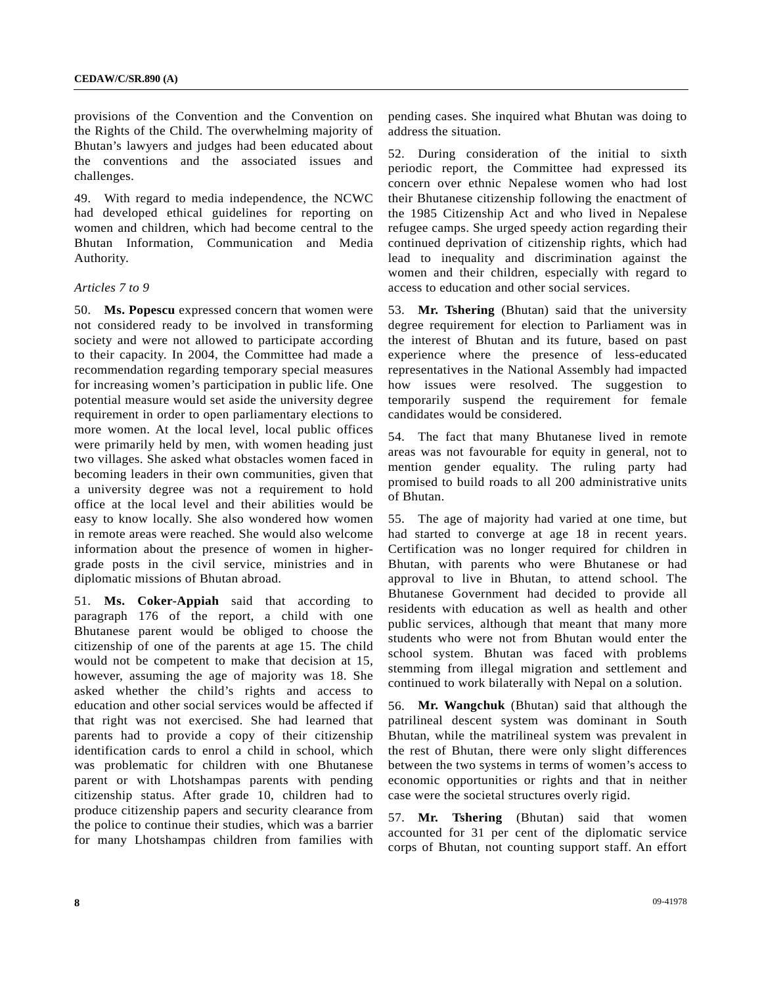provisions of the Convention and the Convention on the Rights of the Child. The overwhelming majority of Bhutan's lawyers and judges had been educated about the conventions and the associated issues and challenges.

49. With regard to media independence, the NCWC had developed ethical guidelines for reporting on women and children, which had become central to the Bhutan Information, Communication and Media Authority.

#### *Articles 7 to 9*

50. **Ms. Popescu** expressed concern that women were not considered ready to be involved in transforming society and were not allowed to participate according to their capacity. In 2004, the Committee had made a recommendation regarding temporary special measures for increasing women's participation in public life. One potential measure would set aside the university degree requirement in order to open parliamentary elections to more women. At the local level, local public offices were primarily held by men, with women heading just two villages. She asked what obstacles women faced in becoming leaders in their own communities, given that a university degree was not a requirement to hold office at the local level and their abilities would be easy to know locally. She also wondered how women in remote areas were reached. She would also welcome information about the presence of women in highergrade posts in the civil service, ministries and in diplomatic missions of Bhutan abroad.

51. **Ms. Coker-Appiah** said that according to paragraph 176 of the report, a child with one Bhutanese parent would be obliged to choose the citizenship of one of the parents at age 15. The child would not be competent to make that decision at 15, however, assuming the age of majority was 18. She asked whether the child's rights and access to education and other social services would be affected if that right was not exercised. She had learned that parents had to provide a copy of their citizenship identification cards to enrol a child in school, which was problematic for children with one Bhutanese parent or with Lhotshampas parents with pending citizenship status. After grade 10, children had to produce citizenship papers and security clearance from the police to continue their studies, which was a barrier for many Lhotshampas children from families with

pending cases. She inquired what Bhutan was doing to address the situation.

52. During consideration of the initial to sixth periodic report, the Committee had expressed its concern over ethnic Nepalese women who had lost their Bhutanese citizenship following the enactment of the 1985 Citizenship Act and who lived in Nepalese refugee camps. She urged speedy action regarding their continued deprivation of citizenship rights, which had lead to inequality and discrimination against the women and their children, especially with regard to access to education and other social services.

53. **Mr. Tshering** (Bhutan) said that the university degree requirement for election to Parliament was in the interest of Bhutan and its future, based on past experience where the presence of less-educated representatives in the National Assembly had impacted how issues were resolved. The suggestion to temporarily suspend the requirement for female candidates would be considered.

54. The fact that many Bhutanese lived in remote areas was not favourable for equity in general, not to mention gender equality. The ruling party had promised to build roads to all 200 administrative units of Bhutan.

55. The age of majority had varied at one time, but had started to converge at age 18 in recent years. Certification was no longer required for children in Bhutan, with parents who were Bhutanese or had approval to live in Bhutan, to attend school. The Bhutanese Government had decided to provide all residents with education as well as health and other public services, although that meant that many more students who were not from Bhutan would enter the school system. Bhutan was faced with problems stemming from illegal migration and settlement and continued to work bilaterally with Nepal on a solution.

56. **Mr. Wangchuk** (Bhutan) said that although the patrilineal descent system was dominant in South Bhutan, while the matrilineal system was prevalent in the rest of Bhutan, there were only slight differences between the two systems in terms of women's access to economic opportunities or rights and that in neither case were the societal structures overly rigid.

57. **Mr. Tshering** (Bhutan) said that women accounted for 31 per cent of the diplomatic service corps of Bhutan, not counting support staff. An effort